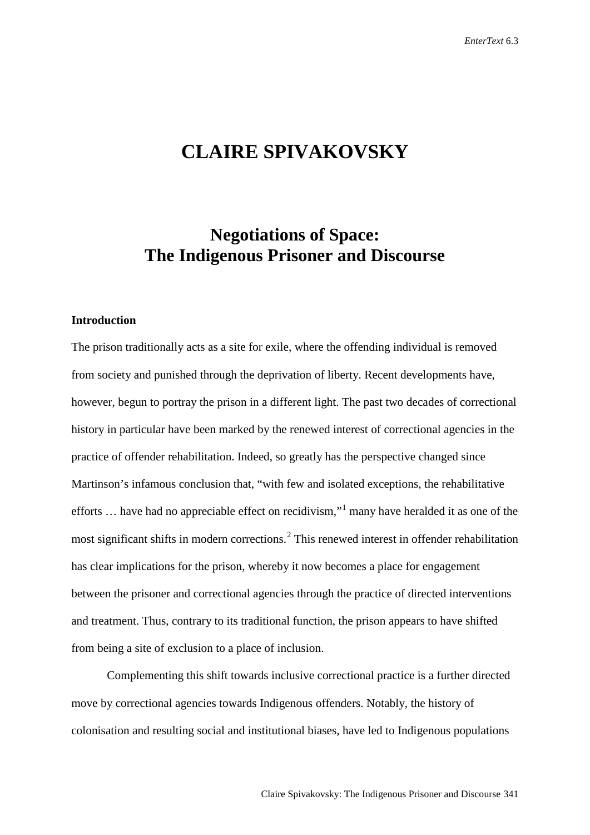# **CLAIRE SPIVAKOVSKY**

## **Negotiations of Space: The Indigenous Prisoner and Discourse**

## **Introduction**

The prison traditionally acts as a site for exile, where the offending individual is removed from society and punished through the deprivation of liberty. Recent developments have, however, begun to portray the prison in a different light. The past two decades of correctional history in particular have been marked by the renewed interest of correctional agencies in the practice of offender rehabilitation. Indeed, so greatly has the perspective changed since Martinson's infamous conclusion that, "with few and isolated exceptions, the rehabilitative efforts ... have had no appreciable effect on recidivism,"<sup>[1](#page-19-0)</sup> many have heralded it as one of the most significant shifts in modern corrections.<sup>[2](#page-19-1)</sup> This renewed interest in offender rehabilitation has clear implications for the prison, whereby it now becomes a place for engagement between the prisoner and correctional agencies through the practice of directed interventions and treatment. Thus, contrary to its traditional function, the prison appears to have shifted from being a site of exclusion to a place of inclusion.

Complementing this shift towards inclusive correctional practice is a further directed move by correctional agencies towards Indigenous offenders. Notably, the history of colonisation and resulting social and institutional biases, have led to Indigenous populations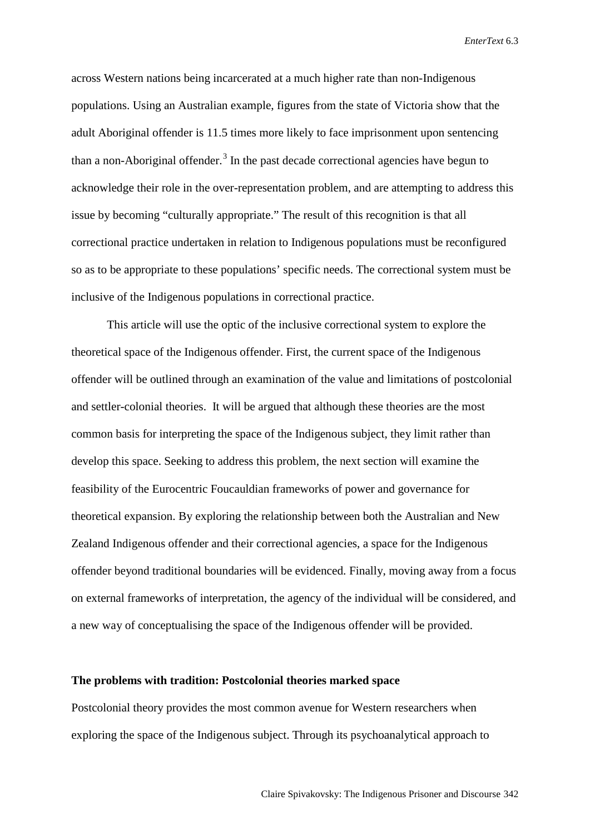across Western nations being incarcerated at a much higher rate than non-Indigenous populations. Using an Australian example, figures from the state of Victoria show that the adult Aboriginal offender is 11.5 times more likely to face imprisonment upon sentencing than a non-Aboriginal offender.<sup>[3](#page-20-0)</sup> In the past decade correctional agencies have begun to acknowledge their role in the over-representation problem, and are attempting to address this issue by becoming "culturally appropriate." The result of this recognition is that all correctional practice undertaken in relation to Indigenous populations must be reconfigured so as to be appropriate to these populations' specific needs. The correctional system must be inclusive of the Indigenous populations in correctional practice.

This article will use the optic of the inclusive correctional system to explore the theoretical space of the Indigenous offender. First, the current space of the Indigenous offender will be outlined through an examination of the value and limitations of postcolonial and settler-colonial theories. It will be argued that although these theories are the most common basis for interpreting the space of the Indigenous subject, they limit rather than develop this space. Seeking to address this problem, the next section will examine the feasibility of the Eurocentric Foucauldian frameworks of power and governance for theoretical expansion. By exploring the relationship between both the Australian and New Zealand Indigenous offender and their correctional agencies, a space for the Indigenous offender beyond traditional boundaries will be evidenced. Finally, moving away from a focus on external frameworks of interpretation, the agency of the individual will be considered, and a new way of conceptualising the space of the Indigenous offender will be provided.

## **The problems with tradition: Postcolonial theories marked space**

Postcolonial theory provides the most common avenue for Western researchers when exploring the space of the Indigenous subject. Through its psychoanalytical approach to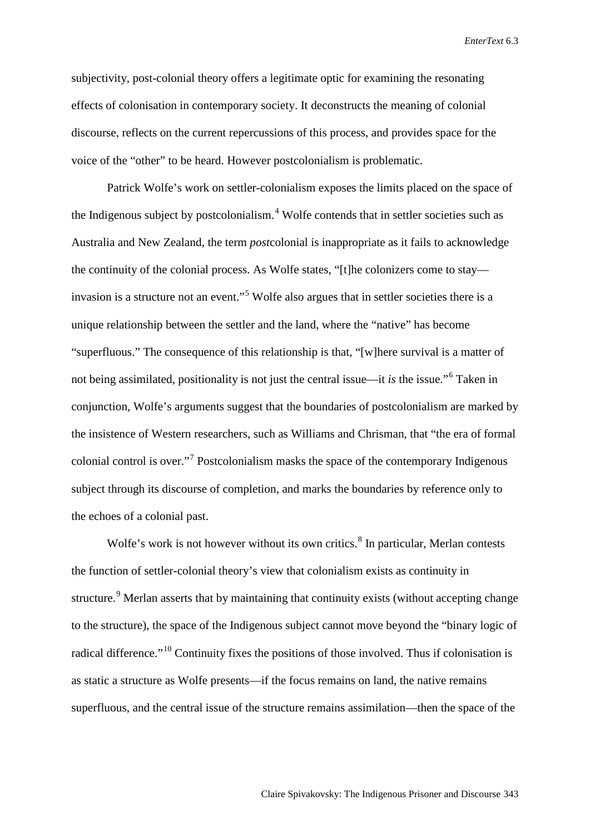subjectivity, post-colonial theory offers a legitimate optic for examining the resonating effects of colonisation in contemporary society. It deconstructs the meaning of colonial discourse, reflects on the current repercussions of this process, and provides space for the voice of the "other" to be heard. However postcolonialism is problematic.

Patrick Wolfe's work on settler-colonialism exposes the limits placed on the space of the Indigenous subject by postcolonialism.<sup>[4](#page-20-1)</sup> Wolfe contends that in settler societies such as Australia and New Zealand, the term *post*colonial is inappropriate as it fails to acknowledge the continuity of the colonial process. As Wolfe states, "[t]he colonizers come to stay— invasion is a structure not an event."<sup>[5](#page-20-2)</sup> Wolfe also argues that in settler societies there is a unique relationship between the settler and the land, where the "native" has become "superfluous." The consequence of this relationship is that, "[w]here survival is a matter of not being assimilated, positionality is not just the central issue—it *is* the issue."[6](#page-20-3) Taken in conjunction, Wolfe's arguments suggest that the boundaries of postcolonialism are marked by the insistence of Western researchers, such as Williams and Chrisman, that "the era of formal colonial control is over."[7](#page-20-4) Postcolonialism masks the space of the contemporary Indigenous subject through its discourse of completion, and marks the boundaries by reference only to the echoes of a colonial past.

Wolfe's work is not however without its own critics.<sup>[8](#page-20-5)</sup> In particular, Merlan contests the function of settler-colonial theory's view that colonialism exists as continuity in structure.<sup>[9](#page-20-6)</sup> Merlan asserts that by maintaining that continuity exists (without accepting change to the structure), the space of the Indigenous subject cannot move beyond the "binary logic of radical difference."[10](#page-20-7) Continuity fixes the positions of those involved. Thus if colonisation is as static a structure as Wolfe presents—if the focus remains on land, the native remains superfluous, and the central issue of the structure remains assimilation—then the space of the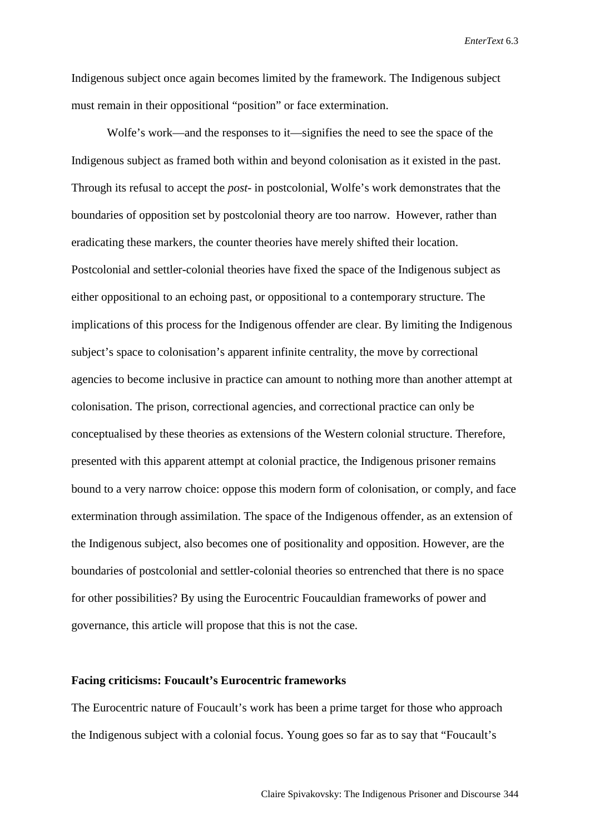Indigenous subject once again becomes limited by the framework. The Indigenous subject must remain in their oppositional "position" or face extermination.

Wolfe's work—and the responses to it—signifies the need to see the space of the Indigenous subject as framed both within and beyond colonisation as it existed in the past. Through its refusal to accept the *post*- in postcolonial, Wolfe's work demonstrates that the boundaries of opposition set by postcolonial theory are too narrow. However, rather than eradicating these markers, the counter theories have merely shifted their location. Postcolonial and settler-colonial theories have fixed the space of the Indigenous subject as either oppositional to an echoing past, or oppositional to a contemporary structure. The implications of this process for the Indigenous offender are clear. By limiting the Indigenous subject's space to colonisation's apparent infinite centrality, the move by correctional agencies to become inclusive in practice can amount to nothing more than another attempt at colonisation. The prison, correctional agencies, and correctional practice can only be conceptualised by these theories as extensions of the Western colonial structure. Therefore, presented with this apparent attempt at colonial practice, the Indigenous prisoner remains bound to a very narrow choice: oppose this modern form of colonisation, or comply, and face extermination through assimilation. The space of the Indigenous offender, as an extension of the Indigenous subject, also becomes one of positionality and opposition. However, are the boundaries of postcolonial and settler-colonial theories so entrenched that there is no space for other possibilities? By using the Eurocentric Foucauldian frameworks of power and governance, this article will propose that this is not the case.

## **Facing criticisms: Foucault's Eurocentric frameworks**

The Eurocentric nature of Foucault's work has been a prime target for those who approach the Indigenous subject with a colonial focus. Young goes so far as to say that "Foucault's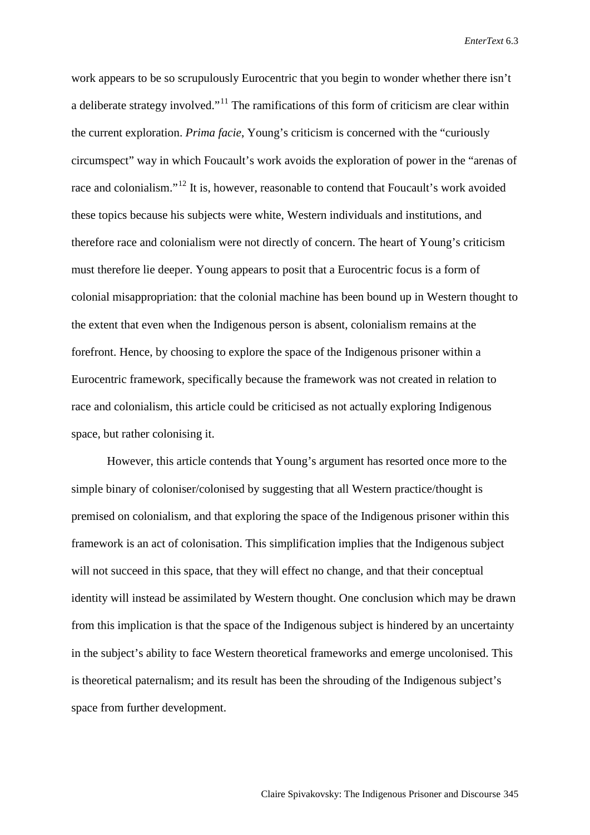work appears to be so scrupulously Eurocentric that you begin to wonder whether there isn't a deliberate strategy involved."<sup>[11](#page-20-8)</sup> The ramifications of this form of criticism are clear within the current exploration. *Prima facie*, Young's criticism is concerned with the "curiously circumspect" way in which Foucault's work avoids the exploration of power in the "arenas of race and colonialism."<sup>[12](#page-20-9)</sup> It is, however, reasonable to contend that Foucault's work avoided these topics because his subjects were white, Western individuals and institutions, and therefore race and colonialism were not directly of concern. The heart of Young's criticism must therefore lie deeper. Young appears to posit that a Eurocentric focus is a form of colonial misappropriation: that the colonial machine has been bound up in Western thought to the extent that even when the Indigenous person is absent, colonialism remains at the forefront. Hence, by choosing to explore the space of the Indigenous prisoner within a Eurocentric framework, specifically because the framework was not created in relation to race and colonialism, this article could be criticised as not actually exploring Indigenous space, but rather colonising it.

However, this article contends that Young's argument has resorted once more to the simple binary of coloniser/colonised by suggesting that all Western practice/thought is premised on colonialism, and that exploring the space of the Indigenous prisoner within this framework is an act of colonisation. This simplification implies that the Indigenous subject will not succeed in this space, that they will effect no change, and that their conceptual identity will instead be assimilated by Western thought. One conclusion which may be drawn from this implication is that the space of the Indigenous subject is hindered by an uncertainty in the subject's ability to face Western theoretical frameworks and emerge uncolonised. This is theoretical paternalism; and its result has been the shrouding of the Indigenous subject's space from further development.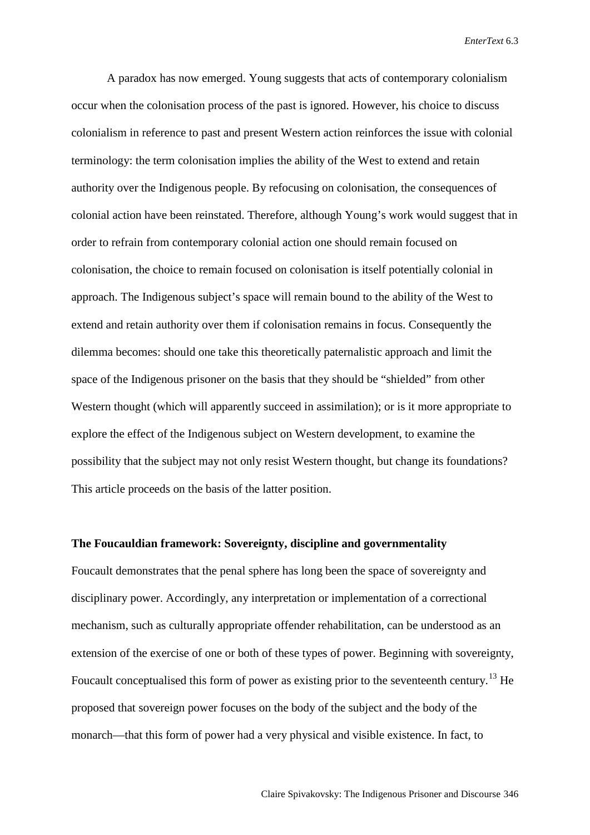A paradox has now emerged. Young suggests that acts of contemporary colonialism occur when the colonisation process of the past is ignored. However, his choice to discuss colonialism in reference to past and present Western action reinforces the issue with colonial terminology: the term colonisation implies the ability of the West to extend and retain authority over the Indigenous people. By refocusing on colonisation, the consequences of colonial action have been reinstated. Therefore, although Young's work would suggest that in order to refrain from contemporary colonial action one should remain focused on colonisation, the choice to remain focused on colonisation is itself potentially colonial in approach. The Indigenous subject's space will remain bound to the ability of the West to extend and retain authority over them if colonisation remains in focus. Consequently the dilemma becomes: should one take this theoretically paternalistic approach and limit the space of the Indigenous prisoner on the basis that they should be "shielded" from other Western thought (which will apparently succeed in assimilation); or is it more appropriate to explore the effect of the Indigenous subject on Western development, to examine the possibility that the subject may not only resist Western thought, but change its foundations? This article proceeds on the basis of the latter position.

## **The Foucauldian framework: Sovereignty, discipline and governmentality**

Foucault demonstrates that the penal sphere has long been the space of sovereignty and disciplinary power. Accordingly, any interpretation or implementation of a correctional mechanism, such as culturally appropriate offender rehabilitation, can be understood as an extension of the exercise of one or both of these types of power. Beginning with sovereignty, Foucault conceptualised this form of power as existing prior to the seventeenth century.<sup>[13](#page-20-10)</sup> He proposed that sovereign power focuses on the body of the subject and the body of the monarch—that this form of power had a very physical and visible existence. In fact, to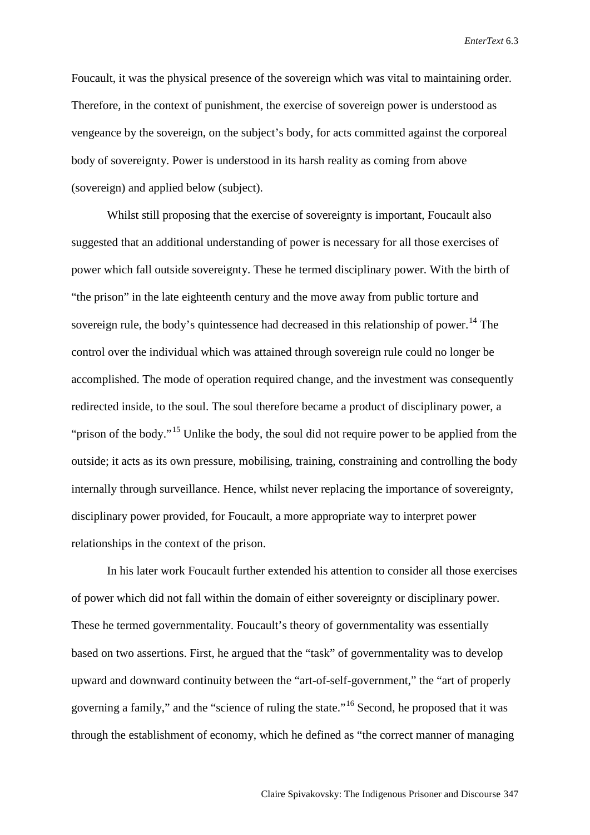Foucault, it was the physical presence of the sovereign which was vital to maintaining order. Therefore, in the context of punishment, the exercise of sovereign power is understood as vengeance by the sovereign, on the subject's body, for acts committed against the corporeal body of sovereignty. Power is understood in its harsh reality as coming from above (sovereign) and applied below (subject).

Whilst still proposing that the exercise of sovereignty is important, Foucault also suggested that an additional understanding of power is necessary for all those exercises of power which fall outside sovereignty. These he termed disciplinary power. With the birth of "the prison" in the late eighteenth century and the move away from public torture and sovereign rule, the body's quintessence had decreased in this relationship of power.<sup>[14](#page-20-11)</sup> The control over the individual which was attained through sovereign rule could no longer be accomplished. The mode of operation required change, and the investment was consequently redirected inside, to the soul. The soul therefore became a product of disciplinary power, a "prison of the body."<sup>[15](#page-20-12)</sup> Unlike the body, the soul did not require power to be applied from the outside; it acts as its own pressure, mobilising, training, constraining and controlling the body internally through surveillance. Hence, whilst never replacing the importance of sovereignty, disciplinary power provided, for Foucault, a more appropriate way to interpret power relationships in the context of the prison.

In his later work Foucault further extended his attention to consider all those exercises of power which did not fall within the domain of either sovereignty or disciplinary power. These he termed governmentality. Foucault's theory of governmentality was essentially based on two assertions. First, he argued that the "task" of governmentality was to develop upward and downward continuity between the "art-of-self-government," the "art of properly governing a family," and the "science of ruling the state."[16](#page-20-13) Second, he proposed that it was through the establishment of economy, which he defined as "the correct manner of managing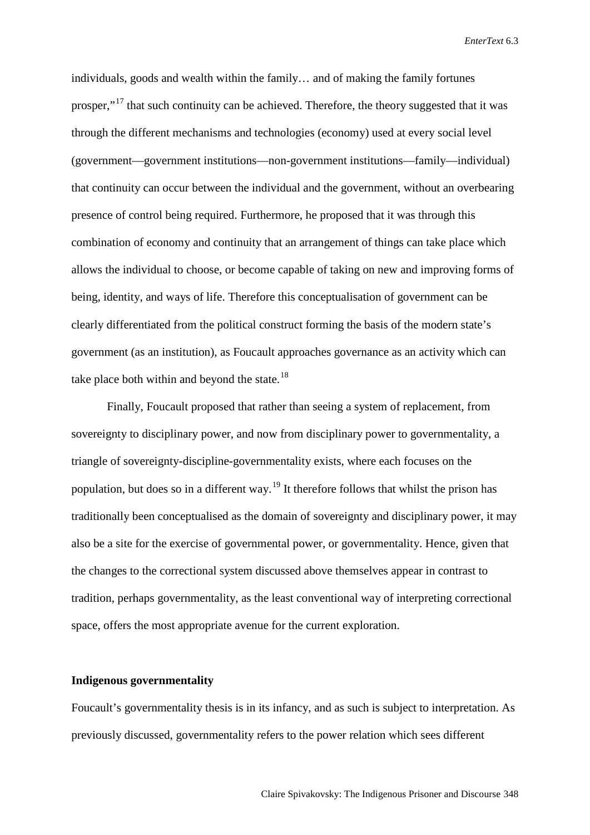individuals, goods and wealth within the family… and of making the family fortunes prosper,"<sup>[17](#page-20-14)</sup> that such continuity can be achieved. Therefore, the theory suggested that it was through the different mechanisms and technologies (economy) used at every social level (government—government institutions—non-government institutions—family—individual) that continuity can occur between the individual and the government, without an overbearing presence of control being required. Furthermore, he proposed that it was through this combination of economy and continuity that an arrangement of things can take place which allows the individual to choose, or become capable of taking on new and improving forms of being, identity, and ways of life. Therefore this conceptualisation of government can be clearly differentiated from the political construct forming the basis of the modern state's government (as an institution), as Foucault approaches governance as an activity which can take place both within and beyond the state.<sup>[18](#page-20-15)</sup>

Finally, Foucault proposed that rather than seeing a system of replacement, from sovereignty to disciplinary power, and now from disciplinary power to governmentality, a triangle of sovereignty-discipline-governmentality exists, where each focuses on the population, but does so in a different way.<sup>[19](#page-20-16)</sup> It therefore follows that whilst the prison has traditionally been conceptualised as the domain of sovereignty and disciplinary power, it may also be a site for the exercise of governmental power, or governmentality. Hence, given that the changes to the correctional system discussed above themselves appear in contrast to tradition, perhaps governmentality, as the least conventional way of interpreting correctional space, offers the most appropriate avenue for the current exploration.

## **Indigenous governmentality**

Foucault's governmentality thesis is in its infancy, and as such is subject to interpretation. As previously discussed, governmentality refers to the power relation which sees different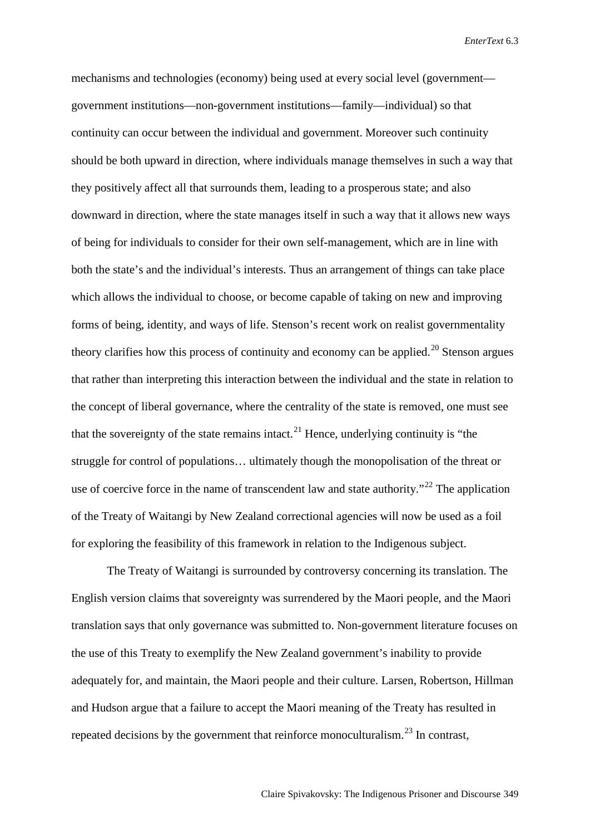mechanisms and technologies (economy) being used at every social level (government government institutions—non-government institutions—family—individual) so that continuity can occur between the individual and government. Moreover such continuity should be both upward in direction, where individuals manage themselves in such a way that they positively affect all that surrounds them, leading to a prosperous state; and also downward in direction, where the state manages itself in such a way that it allows new ways of being for individuals to consider for their own self-management, which are in line with both the state's and the individual's interests. Thus an arrangement of things can take place which allows the individual to choose, or become capable of taking on new and improving forms of being, identity, and ways of life. Stenson's recent work on realist governmentality theory clarifies how this process of continuity and economy can be applied.<sup>[20](#page-20-17)</sup> Stenson argues that rather than interpreting this interaction between the individual and the state in relation to the concept of liberal governance, where the centrality of the state is removed, one must see that the sovereignty of the state remains intact.<sup>[21](#page-20-18)</sup> Hence, underlying continuity is "the struggle for control of populations… ultimately though the monopolisation of the threat or use of coercive force in the name of transcendent law and state authority."<sup>[22](#page-20-19)</sup> The application of the Treaty of Waitangi by New Zealand correctional agencies will now be used as a foil for exploring the feasibility of this framework in relation to the Indigenous subject.

The Treaty of Waitangi is surrounded by controversy concerning its translation. The English version claims that sovereignty was surrendered by the Maori people, and the Maori translation says that only governance was submitted to. Non-government literature focuses on the use of this Treaty to exemplify the New Zealand government's inability to provide adequately for, and maintain, the Maori people and their culture. Larsen, Robertson, Hillman and Hudson argue that a failure to accept the Maori meaning of the Treaty has resulted in repeated decisions by the government that reinforce monoculturalism.<sup>[23](#page-20-20)</sup> In contrast,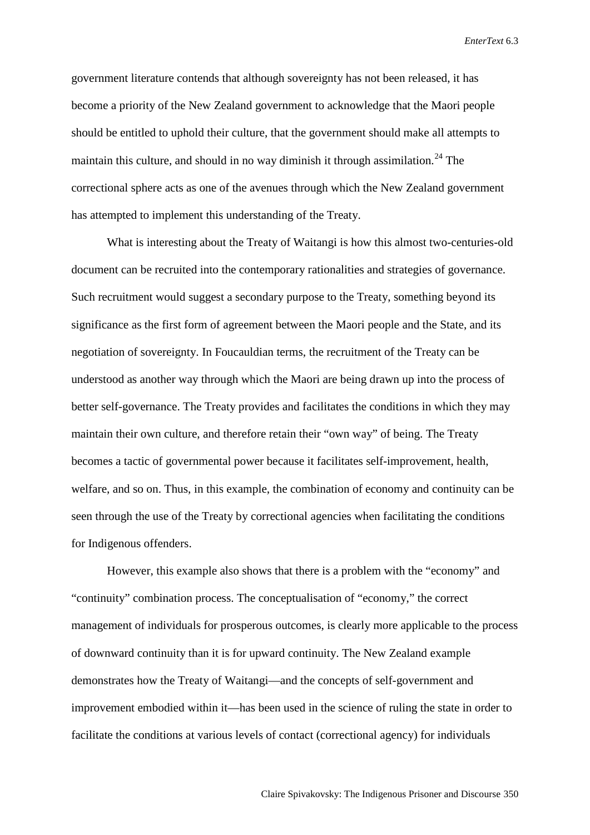government literature contends that although sovereignty has not been released, it has become a priority of the New Zealand government to acknowledge that the Maori people should be entitled to uphold their culture, that the government should make all attempts to maintain this culture, and should in no way diminish it through assimilation.<sup>[24](#page-20-21)</sup> The correctional sphere acts as one of the avenues through which the New Zealand government has attempted to implement this understanding of the Treaty.

What is interesting about the Treaty of Waitangi is how this almost two-centuries-old document can be recruited into the contemporary rationalities and strategies of governance. Such recruitment would suggest a secondary purpose to the Treaty, something beyond its significance as the first form of agreement between the Maori people and the State, and its negotiation of sovereignty. In Foucauldian terms, the recruitment of the Treaty can be understood as another way through which the Maori are being drawn up into the process of better self-governance. The Treaty provides and facilitates the conditions in which they may maintain their own culture, and therefore retain their "own way" of being. The Treaty becomes a tactic of governmental power because it facilitates self-improvement, health, welfare, and so on. Thus, in this example, the combination of economy and continuity can be seen through the use of the Treaty by correctional agencies when facilitating the conditions for Indigenous offenders.

However, this example also shows that there is a problem with the "economy" and "continuity" combination process. The conceptualisation of "economy," the correct management of individuals for prosperous outcomes, is clearly more applicable to the process of downward continuity than it is for upward continuity. The New Zealand example demonstrates how the Treaty of Waitangi—and the concepts of self-government and improvement embodied within it—has been used in the science of ruling the state in order to facilitate the conditions at various levels of contact (correctional agency) for individuals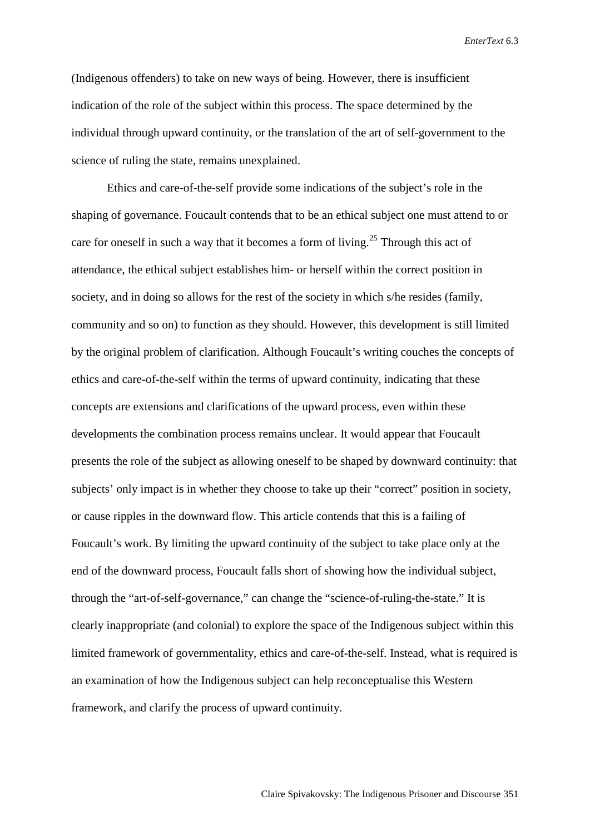(Indigenous offenders) to take on new ways of being. However, there is insufficient indication of the role of the subject within this process. The space determined by the individual through upward continuity, or the translation of the art of self-government to the science of ruling the state, remains unexplained.

Ethics and care-of-the-self provide some indications of the subject's role in the shaping of governance. Foucault contends that to be an ethical subject one must attend to or care for oneself in such a way that it becomes a form of living.<sup>[25](#page-20-22)</sup> Through this act of attendance, the ethical subject establishes him- or herself within the correct position in society, and in doing so allows for the rest of the society in which s/he resides (family, community and so on) to function as they should. However, this development is still limited by the original problem of clarification. Although Foucault's writing couches the concepts of ethics and care-of-the-self within the terms of upward continuity, indicating that these concepts are extensions and clarifications of the upward process, even within these developments the combination process remains unclear. It would appear that Foucault presents the role of the subject as allowing oneself to be shaped by downward continuity: that subjects' only impact is in whether they choose to take up their "correct" position in society, or cause ripples in the downward flow. This article contends that this is a failing of Foucault's work. By limiting the upward continuity of the subject to take place only at the end of the downward process, Foucault falls short of showing how the individual subject, through the "art-of-self-governance," can change the "science-of-ruling-the-state." It is clearly inappropriate (and colonial) to explore the space of the Indigenous subject within this limited framework of governmentality, ethics and care-of-the-self. Instead, what is required is an examination of how the Indigenous subject can help reconceptualise this Western framework, and clarify the process of upward continuity.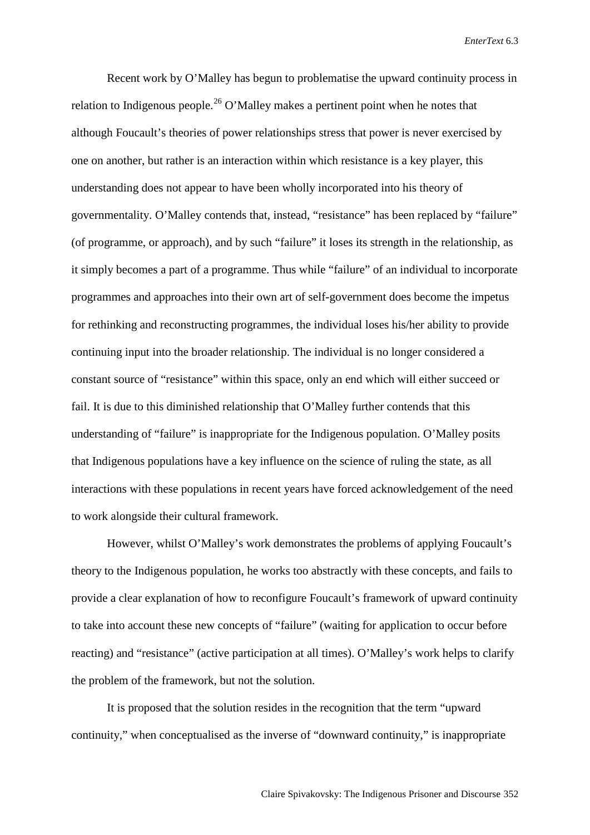Recent work by O'Malley has begun to problematise the upward continuity process in relation to Indigenous people.<sup>[26](#page-20-23)</sup> O'Malley makes a pertinent point when he notes that although Foucault's theories of power relationships stress that power is never exercised by one on another, but rather is an interaction within which resistance is a key player, this understanding does not appear to have been wholly incorporated into his theory of governmentality. O'Malley contends that, instead, "resistance" has been replaced by "failure" (of programme, or approach), and by such "failure" it loses its strength in the relationship, as it simply becomes a part of a programme. Thus while "failure" of an individual to incorporate programmes and approaches into their own art of self-government does become the impetus for rethinking and reconstructing programmes, the individual loses his/her ability to provide continuing input into the broader relationship. The individual is no longer considered a constant source of "resistance" within this space, only an end which will either succeed or fail. It is due to this diminished relationship that O'Malley further contends that this understanding of "failure" is inappropriate for the Indigenous population. O'Malley posits that Indigenous populations have a key influence on the science of ruling the state, as all interactions with these populations in recent years have forced acknowledgement of the need to work alongside their cultural framework.

However, whilst O'Malley's work demonstrates the problems of applying Foucault's theory to the Indigenous population, he works too abstractly with these concepts, and fails to provide a clear explanation of how to reconfigure Foucault's framework of upward continuity to take into account these new concepts of "failure" (waiting for application to occur before reacting) and "resistance" (active participation at all times). O'Malley's work helps to clarify the problem of the framework, but not the solution.

It is proposed that the solution resides in the recognition that the term "upward continuity," when conceptualised as the inverse of "downward continuity," is inappropriate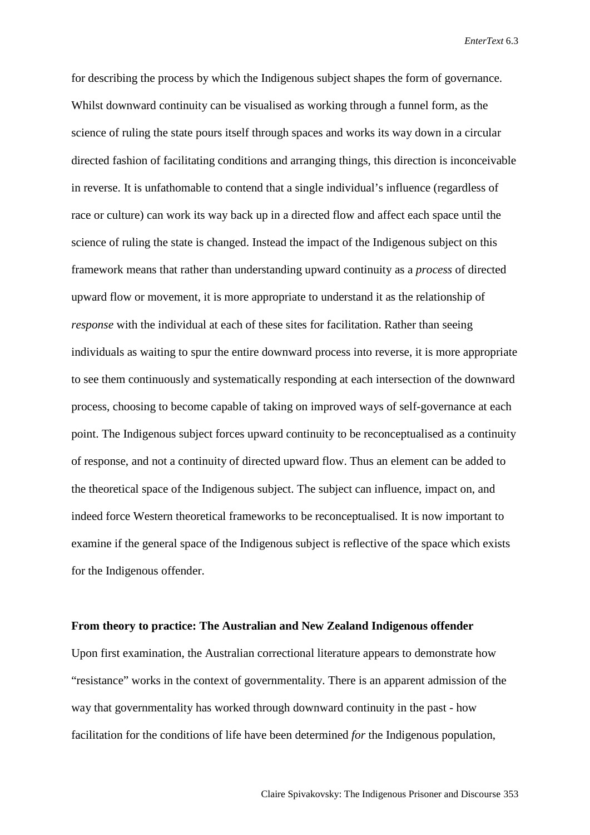for describing the process by which the Indigenous subject shapes the form of governance. Whilst downward continuity can be visualised as working through a funnel form, as the science of ruling the state pours itself through spaces and works its way down in a circular directed fashion of facilitating conditions and arranging things, this direction is inconceivable in reverse. It is unfathomable to contend that a single individual's influence (regardless of race or culture) can work its way back up in a directed flow and affect each space until the science of ruling the state is changed. Instead the impact of the Indigenous subject on this framework means that rather than understanding upward continuity as a *process* of directed upward flow or movement, it is more appropriate to understand it as the relationship of *response* with the individual at each of these sites for facilitation. Rather than seeing individuals as waiting to spur the entire downward process into reverse, it is more appropriate to see them continuously and systematically responding at each intersection of the downward process, choosing to become capable of taking on improved ways of self-governance at each point. The Indigenous subject forces upward continuity to be reconceptualised as a continuity of response, and not a continuity of directed upward flow. Thus an element can be added to the theoretical space of the Indigenous subject. The subject can influence, impact on, and indeed force Western theoretical frameworks to be reconceptualised. It is now important to examine if the general space of the Indigenous subject is reflective of the space which exists for the Indigenous offender.

## **From theory to practice: The Australian and New Zealand Indigenous offender**

Upon first examination, the Australian correctional literature appears to demonstrate how "resistance" works in the context of governmentality. There is an apparent admission of the way that governmentality has worked through downward continuity in the past - how facilitation for the conditions of life have been determined *for* the Indigenous population,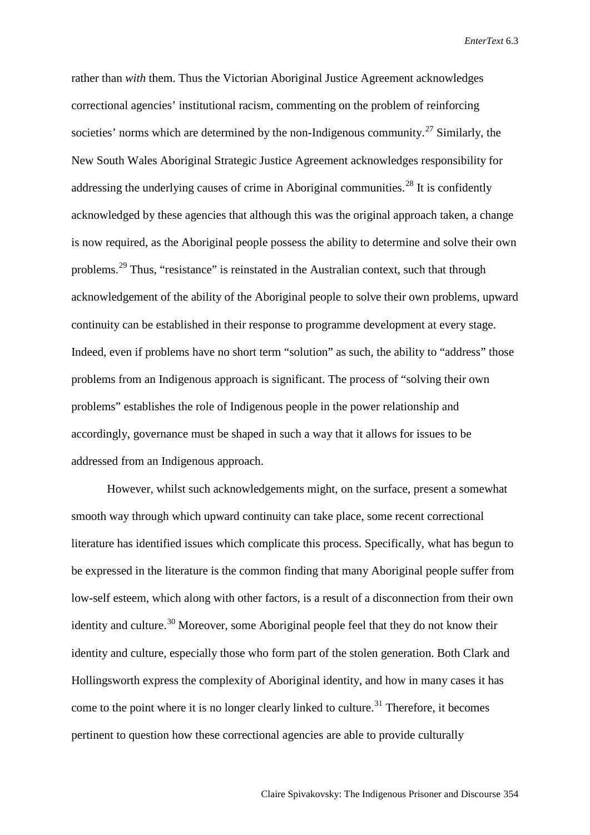rather than *with* them. Thus the Victorian Aboriginal Justice Agreement acknowledges correctional agencies' institutional racism, commenting on the problem of reinforcing societies' norms which are determined by the non-Indigenous community.<sup>[27](#page-20-24)</sup> Similarly, the New South Wales Aboriginal Strategic Justice Agreement acknowledges responsibility for addressing the underlying causes of crime in Aboriginal communities.<sup>[28](#page-20-25)</sup> It is confidently acknowledged by these agencies that although this was the original approach taken, a change is now required, as the Aboriginal people possess the ability to determine and solve their own problems.<sup>[29](#page-20-26)</sup> Thus, "resistance" is reinstated in the Australian context, such that through acknowledgement of the ability of the Aboriginal people to solve their own problems, upward continuity can be established in their response to programme development at every stage. Indeed, even if problems have no short term "solution" as such, the ability to "address" those problems from an Indigenous approach is significant. The process of "solving their own problems" establishes the role of Indigenous people in the power relationship and accordingly, governance must be shaped in such a way that it allows for issues to be addressed from an Indigenous approach.

However, whilst such acknowledgements might, on the surface, present a somewhat smooth way through which upward continuity can take place, some recent correctional literature has identified issues which complicate this process. Specifically, what has begun to be expressed in the literature is the common finding that many Aboriginal people suffer from low-self esteem, which along with other factors, is a result of a disconnection from their own identity and culture.<sup>[30](#page-20-27)</sup> Moreover, some Aboriginal people feel that they do not know their identity and culture, especially those who form part of the stolen generation. Both Clark and Hollingsworth express the complexity of Aboriginal identity, and how in many cases it has come to the point where it is no longer clearly linked to culture.<sup>[31](#page-20-28)</sup> Therefore, it becomes pertinent to question how these correctional agencies are able to provide culturally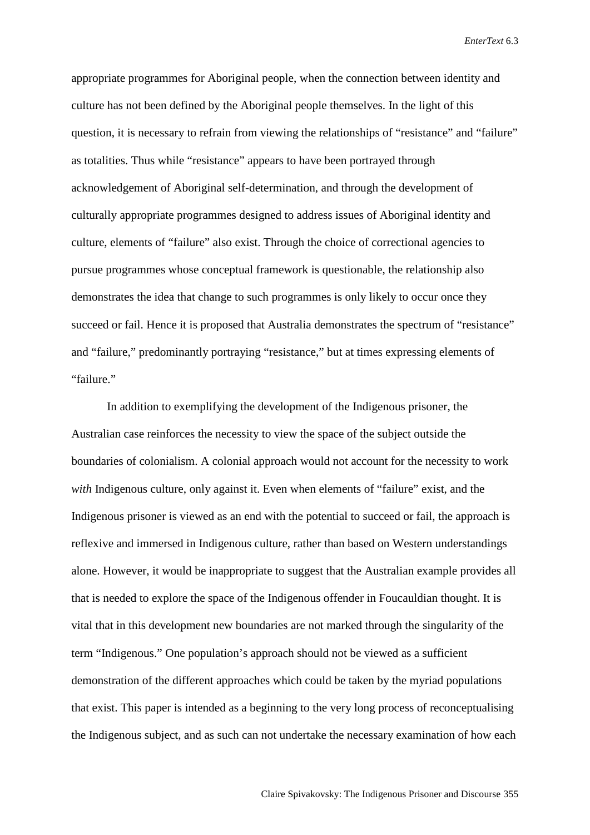appropriate programmes for Aboriginal people, when the connection between identity and culture has not been defined by the Aboriginal people themselves. In the light of this question, it is necessary to refrain from viewing the relationships of "resistance" and "failure" as totalities. Thus while "resistance" appears to have been portrayed through acknowledgement of Aboriginal self-determination, and through the development of culturally appropriate programmes designed to address issues of Aboriginal identity and culture, elements of "failure" also exist. Through the choice of correctional agencies to pursue programmes whose conceptual framework is questionable, the relationship also demonstrates the idea that change to such programmes is only likely to occur once they succeed or fail. Hence it is proposed that Australia demonstrates the spectrum of "resistance" and "failure," predominantly portraying "resistance," but at times expressing elements of "failure."

In addition to exemplifying the development of the Indigenous prisoner, the Australian case reinforces the necessity to view the space of the subject outside the boundaries of colonialism. A colonial approach would not account for the necessity to work *with* Indigenous culture, only against it. Even when elements of "failure" exist, and the Indigenous prisoner is viewed as an end with the potential to succeed or fail, the approach is reflexive and immersed in Indigenous culture, rather than based on Western understandings alone. However, it would be inappropriate to suggest that the Australian example provides all that is needed to explore the space of the Indigenous offender in Foucauldian thought. It is vital that in this development new boundaries are not marked through the singularity of the term "Indigenous." One population's approach should not be viewed as a sufficient demonstration of the different approaches which could be taken by the myriad populations that exist. This paper is intended as a beginning to the very long process of reconceptualising the Indigenous subject, and as such can not undertake the necessary examination of how each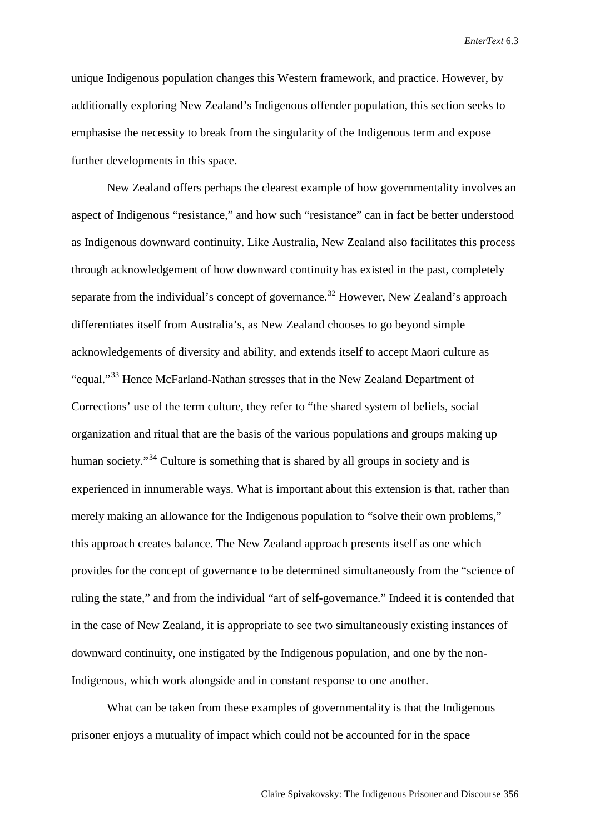unique Indigenous population changes this Western framework, and practice. However, by additionally exploring New Zealand's Indigenous offender population, this section seeks to emphasise the necessity to break from the singularity of the Indigenous term and expose further developments in this space.

New Zealand offers perhaps the clearest example of how governmentality involves an aspect of Indigenous "resistance," and how such "resistance" can in fact be better understood as Indigenous downward continuity. Like Australia, New Zealand also facilitates this process through acknowledgement of how downward continuity has existed in the past, completely separate from the individual's concept of governance.<sup>[32](#page-20-29)</sup> However, New Zealand's approach differentiates itself from Australia's, as New Zealand chooses to go beyond simple acknowledgements of diversity and ability, and extends itself to accept Maori culture as "equal."[33](#page-20-30) Hence McFarland-Nathan stresses that in the New Zealand Department of Corrections' use of the term culture, they refer to "the shared system of beliefs, social organization and ritual that are the basis of the various populations and groups making up human society."<sup>[34](#page-20-31)</sup> Culture is something that is shared by all groups in society and is experienced in innumerable ways. What is important about this extension is that, rather than merely making an allowance for the Indigenous population to "solve their own problems," this approach creates balance. The New Zealand approach presents itself as one which provides for the concept of governance to be determined simultaneously from the "science of ruling the state," and from the individual "art of self-governance." Indeed it is contended that in the case of New Zealand, it is appropriate to see two simultaneously existing instances of downward continuity, one instigated by the Indigenous population, and one by the non-Indigenous, which work alongside and in constant response to one another.

What can be taken from these examples of governmentality is that the Indigenous prisoner enjoys a mutuality of impact which could not be accounted for in the space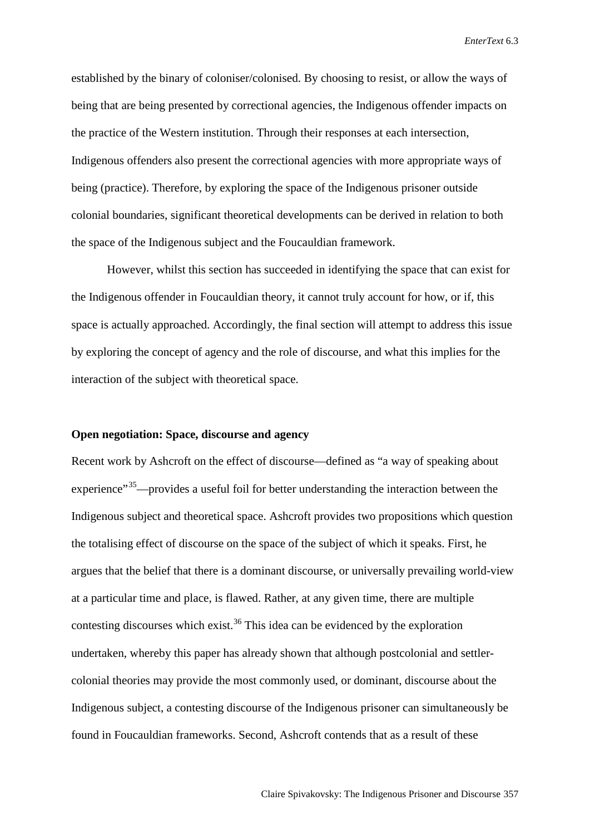established by the binary of coloniser/colonised. By choosing to resist, or allow the ways of being that are being presented by correctional agencies, the Indigenous offender impacts on the practice of the Western institution. Through their responses at each intersection, Indigenous offenders also present the correctional agencies with more appropriate ways of being (practice). Therefore, by exploring the space of the Indigenous prisoner outside colonial boundaries, significant theoretical developments can be derived in relation to both the space of the Indigenous subject and the Foucauldian framework.

However, whilst this section has succeeded in identifying the space that can exist for the Indigenous offender in Foucauldian theory, it cannot truly account for how, or if, this space is actually approached. Accordingly, the final section will attempt to address this issue by exploring the concept of agency and the role of discourse, and what this implies for the interaction of the subject with theoretical space.

## **Open negotiation: Space, discourse and agency**

Recent work by Ashcroft on the effect of discourse—defined as "a way of speaking about experience"<sup>[35](#page-20-32)</sup>—provides a useful foil for better understanding the interaction between the Indigenous subject and theoretical space. Ashcroft provides two propositions which question the totalising effect of discourse on the space of the subject of which it speaks. First, he argues that the belief that there is a dominant discourse, or universally prevailing world-view at a particular time and place, is flawed. Rather, at any given time, there are multiple contesting discourses which exist.<sup>[36](#page-20-33)</sup> This idea can be evidenced by the exploration undertaken, whereby this paper has already shown that although postcolonial and settlercolonial theories may provide the most commonly used, or dominant, discourse about the Indigenous subject, a contesting discourse of the Indigenous prisoner can simultaneously be found in Foucauldian frameworks. Second, Ashcroft contends that as a result of these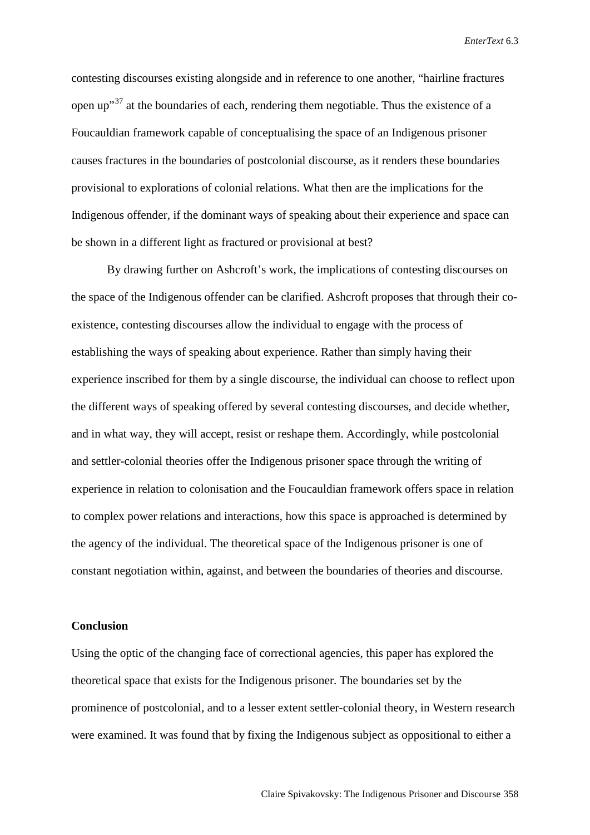contesting discourses existing alongside and in reference to one another, "hairline fractures open up<sup> $37$ </sup> at the boundaries of each, rendering them negotiable. Thus the existence of a Foucauldian framework capable of conceptualising the space of an Indigenous prisoner causes fractures in the boundaries of postcolonial discourse, as it renders these boundaries provisional to explorations of colonial relations. What then are the implications for the Indigenous offender, if the dominant ways of speaking about their experience and space can be shown in a different light as fractured or provisional at best?

By drawing further on Ashcroft's work, the implications of contesting discourses on the space of the Indigenous offender can be clarified. Ashcroft proposes that through their coexistence, contesting discourses allow the individual to engage with the process of establishing the ways of speaking about experience. Rather than simply having their experience inscribed for them by a single discourse, the individual can choose to reflect upon the different ways of speaking offered by several contesting discourses, and decide whether, and in what way, they will accept, resist or reshape them. Accordingly, while postcolonial and settler-colonial theories offer the Indigenous prisoner space through the writing of experience in relation to colonisation and the Foucauldian framework offers space in relation to complex power relations and interactions, how this space is approached is determined by the agency of the individual. The theoretical space of the Indigenous prisoner is one of constant negotiation within, against, and between the boundaries of theories and discourse.

## **Conclusion**

Using the optic of the changing face of correctional agencies, this paper has explored the theoretical space that exists for the Indigenous prisoner. The boundaries set by the prominence of postcolonial, and to a lesser extent settler-colonial theory, in Western research were examined. It was found that by fixing the Indigenous subject as oppositional to either a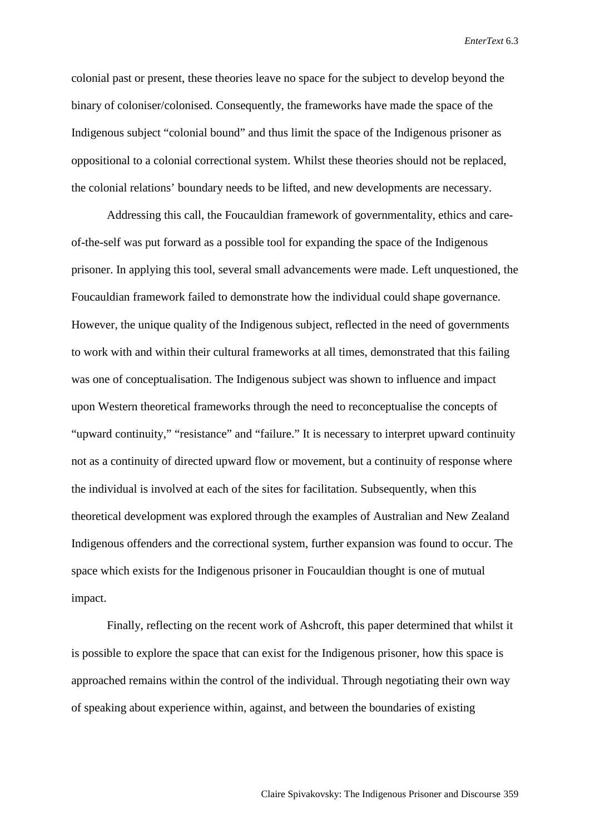colonial past or present, these theories leave no space for the subject to develop beyond the binary of coloniser/colonised. Consequently, the frameworks have made the space of the Indigenous subject "colonial bound" and thus limit the space of the Indigenous prisoner as oppositional to a colonial correctional system. Whilst these theories should not be replaced, the colonial relations' boundary needs to be lifted, and new developments are necessary.

Addressing this call, the Foucauldian framework of governmentality, ethics and careof-the-self was put forward as a possible tool for expanding the space of the Indigenous prisoner. In applying this tool, several small advancements were made. Left unquestioned, the Foucauldian framework failed to demonstrate how the individual could shape governance. However, the unique quality of the Indigenous subject, reflected in the need of governments to work with and within their cultural frameworks at all times, demonstrated that this failing was one of conceptualisation. The Indigenous subject was shown to influence and impact upon Western theoretical frameworks through the need to reconceptualise the concepts of "upward continuity," "resistance" and "failure." It is necessary to interpret upward continuity not as a continuity of directed upward flow or movement, but a continuity of response where the individual is involved at each of the sites for facilitation. Subsequently, when this theoretical development was explored through the examples of Australian and New Zealand Indigenous offenders and the correctional system, further expansion was found to occur. The space which exists for the Indigenous prisoner in Foucauldian thought is one of mutual impact.

Finally, reflecting on the recent work of Ashcroft, this paper determined that whilst it is possible to explore the space that can exist for the Indigenous prisoner, how this space is approached remains within the control of the individual. Through negotiating their own way of speaking about experience within, against, and between the boundaries of existing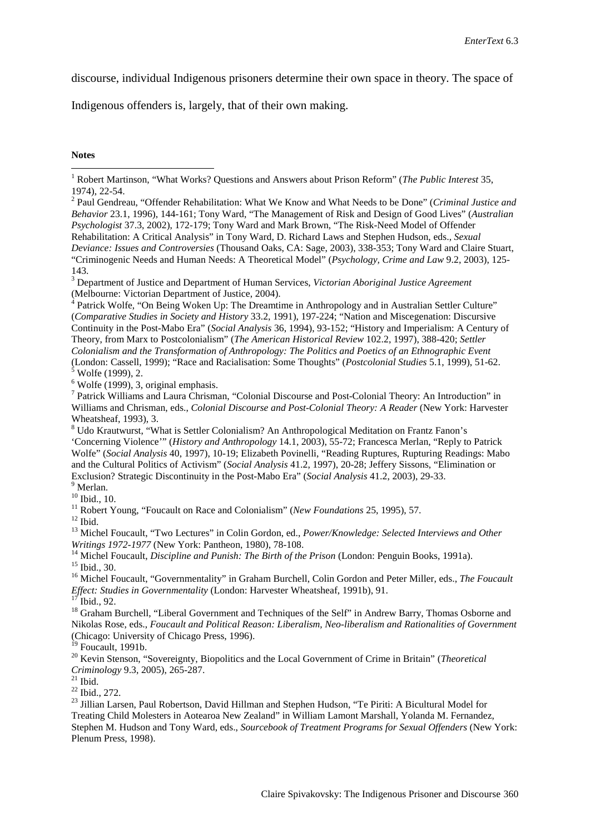discourse, individual Indigenous prisoners determine their own space in theory. The space of

Indigenous offenders is, largely, that of their own making.

**Notes**

<span id="page-19-1"></span>1974), 22-54. <sup>2</sup> Paul Gendreau, "Offender Rehabilitation: What We Know and What Needs to be Done" (*Criminal Justice and Behavior* 23.1, 1996), 144-161; Tony Ward, "The Management of Risk and Design of Good Lives" (*Australian Psychologist* 37.3, 2002), 172-179; Tony Ward and Mark Brown, "The Risk-Need Model of Offender Rehabilitation: A Critical Analysis" in Tony Ward, D. Richard Laws and Stephen Hudson, eds., *Sexual Deviance: Issues and Controversies* (Thousand Oaks, CA: Sage, 2003), 338-353; Tony Ward and Claire Stuart, "Criminogenic Needs and Human Needs: A Theoretical Model" (*Psychology, Crime and Law* 9.2, 2003), 125- 143.

<sup>3</sup> Department of Justice and Department of Human Services, *Victorian Aboriginal Justice Agreement*  (Melbourne: Victorian Department of Justice, 2004).

<sup>4</sup> Patrick Wolfe, "On Being Woken Up: The Dreamtime in Anthropology and in Australian Settler Culture" (*Comparative Studies in Society and History* 33.2, 1991), 197-224; "Nation and Miscegenation: Discursive Continuity in the Post-Mabo Era" (*Social Analysis* 36, 1994), 93-152; "History and Imperialism: A Century of Theory, from Marx to Postcolonialism" (*The American Historical Review* 102.2, 1997), 388-420; *Settler Colonialism and the Transformation of Anthropology: The Politics and Poetics of an Ethnographic Event*  (London: Cassell, 1999); "Race and Racialisation: Some Thoughts" (*Postcolonial Studies* 5.1, 1999), 51-62.<br><sup>5</sup> Wolfe (1999), 2.<br><sup>6</sup> Wolfe (1999), 3, original emphasis.<br><sup>7</sup> Patrick Williams and Laura Chrisman, "Colonial D

Williams and Chrisman, eds., *Colonial Discourse and Post-Colonial Theory: A Reader* (New York: Harvester Wheatsheaf, 1993), 3.

<sup>8</sup> Udo Krautwurst, "What is Settler Colonialism? An Anthropological Meditation on Frantz Fanon's 'Concerning Violence'" (*History and Anthropology* 14.1, 2003), 55-72; Francesca Merlan, "Reply to Patrick Wolfe" (*Social Analysis* 40, 1997), 10-19; Elizabeth Povinelli, "Reading Ruptures, Rupturing Readings: Mabo and the Cultural Politics of Activism" (*Social Analysis* 41.2, 1997), 20-28; Jeffery Sissons, "Elimination or Exclusion? Strategic Discontinuity in the Post-Mabo Era" (*Social Analysis* 41.2, 2003), 29-33.<br><sup>9</sup> Merlan.<br><sup>10</sup> Ibid.. 10.

<sup>11</sup> Robert Young, "Foucault on Race and Colonialism" (*New Foundations* 25, 1995), 57.<br><sup>12</sup> Ibid.<br><sup>13</sup> Michel Foucault, "Two Lectures" in Colin Gordon, ed., *Power/Knowledge: Selected Interviews and Other* 

Writings 1972-1977 (New York: Pantheon, 1980), 78-108.<br><sup>14</sup> Michel Foucault, *Discipline and Punish: The Birth of the Prison* (London: Penguin Books, 1991a).<br><sup>15</sup> Ibid., 30.<br><sup>16</sup> Michel Foucault, "Governmentality" in Graha

<sup>17</sup> Ibid., 92.<br><sup>18</sup> Graham Burchell, "Liberal Government and Techniques of the Self" in Andrew Barry, Thomas Osborne and Nikolas Rose, eds., *Foucault and Political Reason: Liberalism, Neo-liberalism and Rationalities of Government* (Chicago: University of Chicago Press, 1996).

<sup>20</sup> Kevin Stenson, "Sovereignty, Biopolitics and the Local Government of Crime in Britain" (*Theoretical Criminology* 9.3, 2005), 265-287.<br><sup>21</sup> Ibid.

*Criminology* 9.3, 2005), 265-287. <sup>21</sup> Ibid. <sup>22</sup> Ibid., 272. <sup>23</sup> Jillian Larsen, Paul Robertson, David Hillman and Stephen Hudson, "Te Piriti: A Bicultural Model for Treating Child Molesters in Aotearoa New Zealand" in William Lamont Marshall, Yolanda M. Fernandez, Stephen M. Hudson and Tony Ward, eds., *Sourcebook of Treatment Programs for Sexual Offenders* (New York: Plenum Press, 1998).

<span id="page-19-0"></span> <sup>1</sup> Robert Martinson, "What Works? Questions and Answers about Prison Reform" (*The Public Interest* 35,